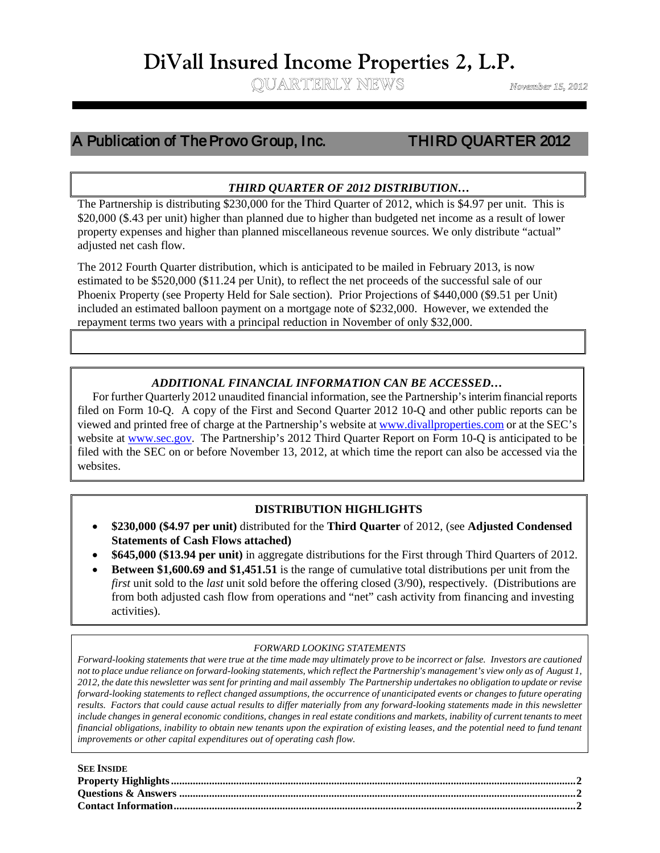# **DiVall Insured Income Properties 2, L.P.**<br>
QUARTERLY NEWS *November 15, 2012*

# A Publication of The Provo Group, Inc. THIRD QUARTER 2012

Ĩ ֺֺ

 $\overline{a}$ 

# *THIRD QUARTER OF 2012 DISTRIBUTION…*

\$20,000 (\$.43 per unit) higher than planned due to higher than budgeted net income as a result of lower The Partnership is distributing \$230,000 for the Third Quarter of 2012, which is \$4.97 per unit. This is property expenses and higher than planned miscellaneous revenue sources. We only distribute "actual" adjusted net cash flow.

The 2012 Fourth Quarter distribution, which is anticipated to be mailed in February 2013, is now estimated to be \$520,000 (\$11.24 per Unit), to reflect the net proceeds of the successful sale of our Phoenix Property (see Property Held for Sale section). Prior Projections of \$440,000 (\$9.51 per Unit) included an estimated balloon payment on a mortgage note of \$232,000. However, we extended the repayment terms two years with a principal reduction in November of only \$32,000.

# *ADDITIONAL FINANCIAL INFORMATION CAN BE ACCESSED…*

 For further Quarterly 2012 unaudited financial information, see the Partnership's interim financial reports filed on Form 10-Q. A copy of the First and Second Quarter 2012 10-Q and other public reports can be viewed and printed free of charge at the Partnership's website at [www.divallproperties.com](http://www.divallproperties.com/) or at the SEC's website at [www.sec.gov.](http://www.sec.gov/) The Partnership's 2012 Third Quarter Report on Form 10-Q is anticipated to be filed with the SEC on or before November 13, 2012, at which time the report can also be accessed via the websites.

# **DISTRIBUTION HIGHLIGHTS**

- **\$230,000 (\$4.97 per unit)** distributed for the **Third Quarter** of 2012, (see **Adjusted Condensed Statements of Cash Flows attached)**
- **\$645,000 (\$13.94 per unit)** in aggregate distributions for the First through Third Quarters of 2012.
- **Between \$1,600.69 and \$1,451.51** is the range of cumulative total distributions per unit from the *first* unit sold to the *last* unit sold before the offering closed (3/90), respectively. (Distributions are from both adjusted cash flow from operations and "net" cash activity from financing and investing activities).

# *FORWARD LOOKING STATEMENTS*

*Forward-looking statements that were true at the time made may ultimately prove to be incorrect or false. Investors are cautioned not to place undue reliance on forward-looking statements, which reflect the Partnership's management's view only as of August 1, 2012, the date this newsletter was sent for printing and mail assembly The Partnership undertakes no obligation to update or revise forward-looking statements to reflect changed assumptions, the occurrence of unanticipated events or changes to future operating results. Factors that could cause actual results to differ materially from any forward-looking statements made in this newsletter include changes in general economic conditions, changes in real estate conditions and markets, inability of current tenants to meet financial obligations, inability to obtain new tenants upon the expiration of existing leases, and the potential need to fund tenant improvements or other capital expenditures out of operating cash flow.*

| <b>SEE INSIDE</b> |  |
|-------------------|--|
|                   |  |
|                   |  |
|                   |  |
|                   |  |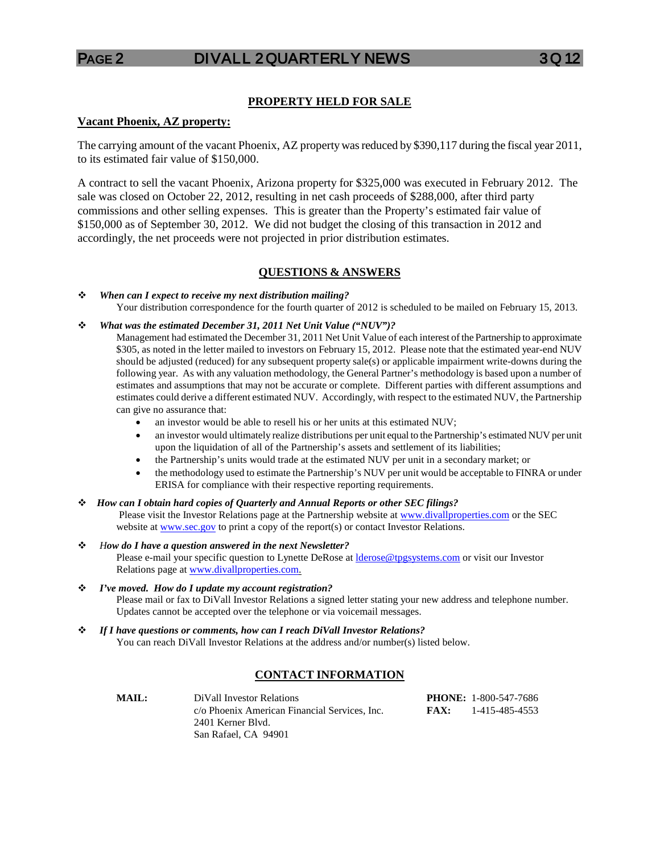### **PROPERTY HELD FOR SALE**

#### **Vacant Phoenix, AZ property:**

The carrying amount of the vacant Phoenix, AZ property was reduced by \$390,117 during the fiscal year 2011, to its estimated fair value of \$150,000.

A contract to sell the vacant Phoenix, Arizona property for \$325,000 was executed in February 2012. The sale was closed on October 22, 2012, resulting in net cash proceeds of \$288,000, after third party commissions and other selling expenses. This is greater than the Property's estimated fair value of \$150,000 as of September 30, 2012. We did not budget the closing of this transaction in 2012 and accordingly, the net proceeds were not projected in prior distribution estimates.

#### **QUESTIONS & ANSWERS**

 *When can I expect to receive my next distribution mailing?* Your distribution correspondence for the fourth quarter of 2012 is scheduled to be mailed on February 15, 2013.

*What was the estimated December 31, 2011 Net Unit Value ("NUV")?*

Management had estimated the December 31, 2011 Net Unit Value of each interest of the Partnership to approximate \$305, as noted in the letter mailed to investors on February 15, 2012. Please note that the estimated year-end NUV should be adjusted (reduced) for any subsequent property sale(s) or applicable impairment write-downs during the following year. As with any valuation methodology, the General Partner's methodology is based upon a number of estimates and assumptions that may not be accurate or complete. Different parties with different assumptions and estimates could derive a different estimated NUV. Accordingly, with respect to the estimated NUV, the Partnership can give no assurance that:

- an investor would be able to resell his or her units at this estimated NUV;
- an investor would ultimately realize distributions per unit equal to the Partnership's estimated NUV per unit upon the liquidation of all of the Partnership's assets and settlement of its liabilities;
- the Partnership's units would trade at the estimated NUV per unit in a secondary market; or
- the methodology used to estimate the Partnership's NUV per unit would be acceptable to FINRA or under ERISA for compliance with their respective reporting requirements.
- *How can I obtain hard copies of Quarterly and Annual Reports or other SEC filings?* Please visit the Investor Relations page at the Partnership website at [www.divallproperties.com](http://www.divallproperties.com/) or the SEC website a[t www.sec.gov](http://www.sec.gov/) to print a copy of the report(s) or contact Investor Relations.
- *How do I have a question answered in the next Newsletter?*  Please e-mail your specific question to Lynette DeRose at *derose@tpgsystems.com* or visit our Investor Relations page at [www.divallproperties.com.](http://www.divallproperties.com/)
- *I've moved. How do I update my account registration?* Please mail or fax to DiVall Investor Relations a signed letter stating your new address and telephone number. Updates cannot be accepted over the telephone or via voicemail messages.
- *If I have questions or comments, how can I reach DiVall Investor Relations?* You can reach DiVall Investor Relations at the address and/or number(s) listed below.

## **CONTACT INFORMATION**

| <b>MAIL:</b> | DiVall Investor Relations                     |      | <b>PHONE:</b> 1-800-547-7686 |
|--------------|-----------------------------------------------|------|------------------------------|
|              | c/o Phoenix American Financial Services. Inc. | FAX: | 1-415-485-4553               |
|              | 2401 Kerner Blyd.                             |      |                              |
|              | San Rafael, CA 94901                          |      |                              |